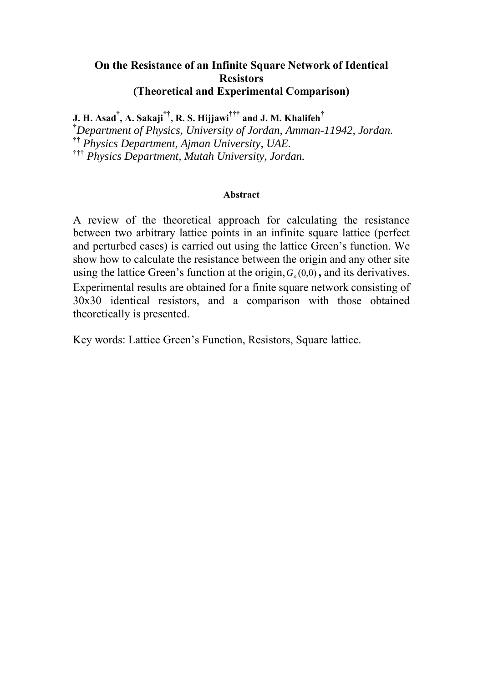## **On the Resistance of an Infinite Square Network of Identical Resistors (Theoretical and Experimental Comparison)**

**J. H. Asad† , A. Sakaji††, R. S. Hijjawi††† and J. M. Khalifeh†**

**†** *Department of Physics, University of Jordan, Amman-11942, Jordan.* **††** *Physics Department, Ajman University, UAE.* **†††** *Physics Department, Mutah University, Jordan.*

#### **Abstract**

A review of the theoretical approach for calculating the resistance between two arbitrary lattice points in an infinite square lattice (perfect and perturbed cases) is carried out using the lattice Green's function. We show how to calculate the resistance between the origin and any other site using the lattice Green's function at the origin,  $G(0,0)$ , and its derivatives. Experimental results are obtained for a finite square network consisting of 30x30 identical resistors, and a comparison with those obtained theoretically is presented.

Key words: Lattice Green's Function, Resistors, Square lattice.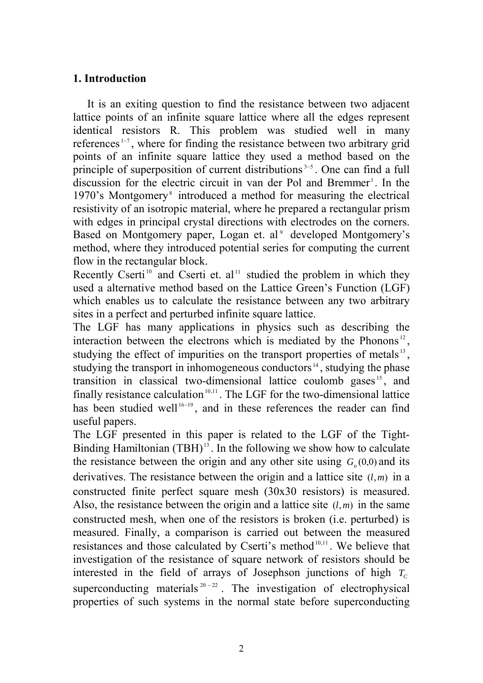## **1. Introduction**

 It is an exiting question to find the resistance between two adjacent lattice points of an infinite square lattice where all the edges represent identical resistors R. This problem was studied well in many references <sup>1</sup><sup>7</sup> , where for finding the resistance between two arbitrary grid points of an infinite square lattice they used a method based on the principle of superposition of current distributions<sup> $3-5$ </sup>. One can find a full discussion for the electric circuit in van der Pol and Bremmer<sup>1</sup>. In the 1970's Montgomery<sup>8</sup> introduced a method for measuring the electrical resistivity of an isotropic material, where he prepared a rectangular prism with edges in principal crystal directions with electrodes on the corners. Based on Montgomery paper, Logan et. al<sup>9</sup> developed Montgomery's method, where they introduced potential series for computing the current flow in the rectangular block.

Recently Cserti<sup>10</sup> and Cserti et. al<sup>11</sup> studied the problem in which they used a alternative method based on the Lattice Green's Function (LGF) which enables us to calculate the resistance between any two arbitrary sites in a perfect and perturbed infinite square lattice.

The LGF has many applications in physics such as describing the interaction between the electrons which is mediated by the Phonons<sup>12</sup>, studying the effect of impurities on the transport properties of metals<sup>13</sup>. studying the transport in inhomogeneous conductors<sup>14</sup>, studying the phase transition in classical two-dimensional lattice coulomb gases <sup>15</sup> , and finally resistance calculation<sup>10,11</sup>. The LGF for the two-dimensional lattice has been studied well<sup>16-19</sup>, and in these references the reader can find useful papers.

The LGF presented in this paper is related to the LGF of the Tight-Binding Hamiltonian  $(TBH)^{13}$ . In the following we show how to calculate the resistance between the origin and any other site using  $G<sub>o</sub>(0,0)$  and its derivatives. The resistance between the origin and a lattice site  $(l, m)$  in a constructed finite perfect square mesh (30x30 resistors) is measured. Also, the resistance between the origin and a lattice site  $(l, m)$  in the same constructed mesh, when one of the resistors is broken (i.e. perturbed) is measured. Finally, a comparison is carried out between the measured resistances and those calculated by Cserti's method<sup>10,11</sup>. We believe that investigation of the resistance of square network of resistors should be interested in the field of arrays of Josephson junctions of high  $T_c$ superconducting materials  $20 - 22$ . The investigation of electrophysical properties of such systems in the normal state before superconducting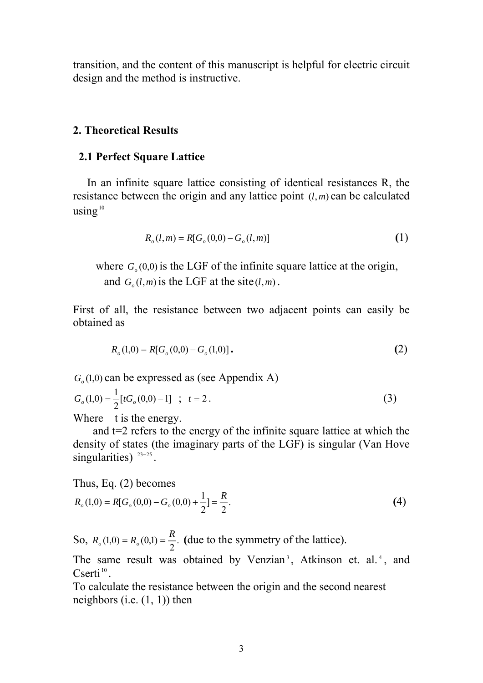transition, and the content of this manuscript is helpful for electric circuit design and the method is instructive.

## **2. Theoretical Results**

## **2.1 Perfect Square Lattice**

In an infinite square lattice consisting of identical resistances R, the resistance between the origin and any lattice point  $(l, m)$  can be calculated using $10$ 

$$
R_o(l,m) = R[G_o(0,0) - G_o(l,m)]
$$
\n(1)

where  $G<sub>o</sub>(0,0)$  is the LGF of the infinite square lattice at the origin, and  $G_a(l,m)$  is the LGF at the site  $(l,m)$ .

First of all, the resistance between two adjacent points can easily be obtained as

$$
R_o(1,0) = R[G_o(0,0) - G_o(1,0)].
$$
\n(2)

 $G<sub>o</sub>(1,0)$  can be expressed as (see Appendix A)

$$
G_o(1,0) = \frac{1}{2} [tG_o(0,0) - 1] \quad ; \quad t = 2.
$$
 (3)

Where t is the energy.

 and t=2 refers to the energy of the infinite square lattice at which the density of states (the imaginary parts of the LGF) is singular (Van Hove singularities)  $23-25$ .

Thus, Eq. (2) becomes

$$
R_o(1,0) = R[G_o(0,0) - G_o(0,0) + \frac{1}{2}] = \frac{R}{2}.
$$
\n(4)

So,  $R_o(1,0) = R_o(0,1) = \frac{R}{2}$ . (due to the symmetry of the lattice).

The same result was obtained by Venzian<sup>3</sup>, Atkinson et. al.<sup>4</sup>, and  $C$ serti $^{10}$ 

To calculate the resistance between the origin and the second nearest neighbors (i.e.  $(1, 1)$ ) then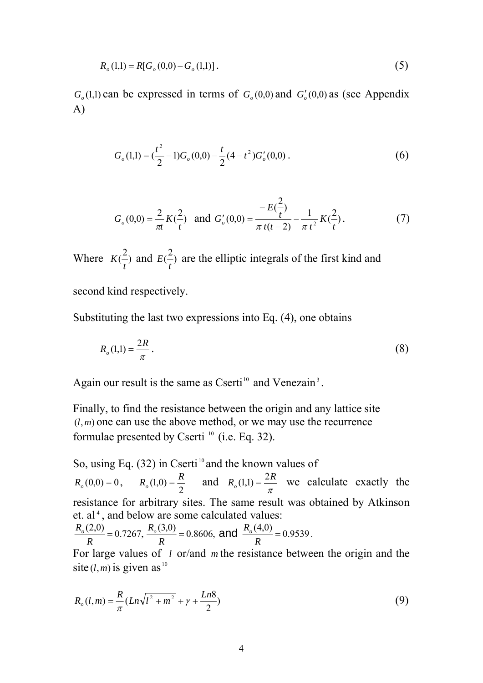$$
R_o(1,1) = R[G_o(0,0) - G_o(1,1)].
$$
\n(5)

 $G<sub>o</sub>(1,1)$  can be expressed in terms of  $G<sub>o</sub>(0,0)$  and  $G<sub>o</sub>'(0,0)$  as (see Appendix A)

$$
G_o(1,1) = \left(\frac{t^2}{2} - 1\right)G_o(0,0) - \frac{t}{2}(4 - t^2)G'_o(0,0) \,. \tag{6}
$$

$$
G_o(0,0) = \frac{2}{\pi t} K(\frac{2}{t}) \text{ and } G'_o(0,0) = \frac{-E(\frac{2}{t})}{\pi t(t-2)} - \frac{1}{\pi t^2} K(\frac{2}{t}).
$$
 (7)

Where  $K(\frac{2}{r})$ *t*  $K(\frac{2}{r})$  and  $E(\frac{2}{r})$ *t*  $E(\frac{2}{r})$  are the elliptic integrals of the first kind and second kind respectively.

Substituting the last two expressions into Eq. (4), one obtains

$$
R_o(1,1) = \frac{2R}{\pi} \,. \tag{8}
$$

Again our result is the same as Cserti<sup>10</sup> and Venezain<sup>3</sup>.

Finally, to find the resistance between the origin and any lattice site  $(l,m)$  one can use the above method, or we may use the recurrence formulae presented by Cserti  $^{10}$  (i.e. Eq. 32).

So, using Eq.  $(32)$  in Cserti<sup>10</sup> and the known values of  $R_o(0,0) = 0$ ,  $R_o(1,0) = \frac{R}{2}$  and  $R_o(1,1) = \frac{2R}{\pi}$  we calculate exactly the resistance for arbitrary sites. The same result was obtained by Atkinson et. al<sup>4</sup>, and below are some calculated values:

$$
\frac{R_o(2,0)}{R} = 0.7267, \frac{R_o(3,0)}{R} = 0.8606, \text{ and } \frac{R_o(4,0)}{R} = 0.9539.
$$

For large values of *l* or/and *m* the resistance between the origin and the site  $(l, m)$  is given as <sup>10</sup>

$$
R_o(l,m) = \frac{R}{\pi} (Ln\sqrt{l^2 + m^2} + \gamma + \frac{Ln8}{2})
$$
\n(9)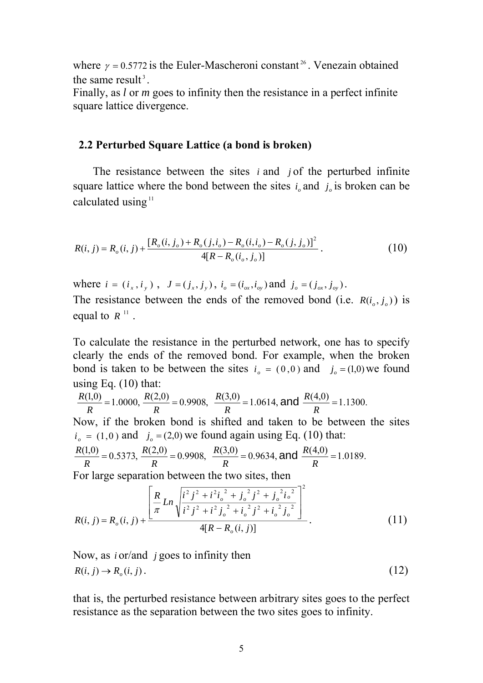where  $\gamma = 0.5772$  is the Euler-Mascheroni constant <sup>26</sup>. Venezain obtained the same result $3$ 

Finally, as *l* or *m* goes to infinity then the resistance in a perfect infinite square lattice divergence.

#### **2.2 Perturbed Square Lattice (a bond is broken)**

 The resistance between the sites *i* and *j* of the perturbed infinite square lattice where the bond between the sites  $i_a$  and  $j_a$  is broken can be calculated using $11$ 

$$
R(i, j) = R_o(i, j) + \frac{[R_o(i, j_o) + R_o(j, i_o) - R_o(i, i_o) - R_o(j, j_o)]^2}{4[R - R_o(i_o, j_o)]}.
$$
\n(10)

where  $i = (i_x, i_y)$ ,  $J = (j_x, j_y)$ ,  $i_o = (i_{ox}, i_{oy})$  and  $j_o = (j_{ox}, j_{oy})$ . The resistance between the ends of the removed bond (i.e.  $R(i_a, i_a)$ ) is equal to  $R^{11}$ .

To calculate the resistance in the perturbed network, one has to specify clearly the ends of the removed bond. For example, when the broken bond is taken to be between the sites  $i_a = (0,0)$  and  $j_a = (1,0)$  we found using Eq.  $(10)$  that:

$$
\frac{R(1,0)}{R} = 1.0000, \frac{R(2,0)}{R} = 0.9908, \frac{R(3,0)}{R} = 1.0614, \text{ and } \frac{R(4,0)}{R} = 1.1300.
$$

Now, if the broken bond is shifted and taken to be between the sites  $i_{o} = (1,0)$  and  $j_{o} = (2,0)$  we found again using Eq. (10) that:

$$
\frac{R(1,0)}{R} = 0.5373, \ \frac{R(2,0)}{R} = 0.9908, \ \frac{R(3,0)}{R} = 0.9634, \text{and } \frac{R(4,0)}{R} = 1.0189.
$$

For large separation between the two sites, then

$$
R(i, j) = R_o(i, j) + \frac{\left[\frac{R}{\pi}Ln\sqrt{\frac{i^2 j^2 + i^2 i_o^2 + j_o^2 j^2 + j_o^2 i_o^2}{i^2 j^2 + i^2 j_o^2 + i_o^2 j^2 + i_o^2 j_o^2}\right]^2}{4[R - R_o(i, j)]}.
$$
(11)

Now, as *i* or/and *j* goes to infinity then  $R(i, j) \to R_o(i, j)$ . (12)

that is, the perturbed resistance between arbitrary sites goes to the perfect resistance as the separation between the two sites goes to infinity.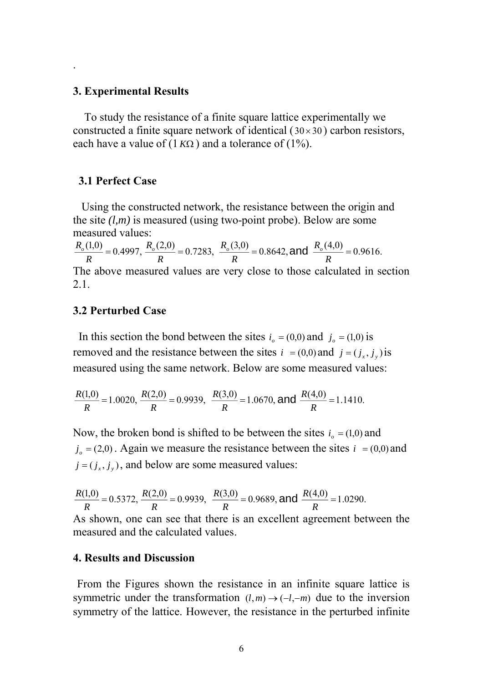#### **3. Experimental Results**

.

To study the resistance of a finite square lattice experimentally we constructed a finite square network of identical  $(30 \times 30)$  carbon resistors, each have a value of  $(1 K\Omega)$  and a tolerance of  $(1\%)$ .

#### **3.1 Perfect Case**

 Using the constructed network, the resistance between the origin and the site *(l,m)* is measured (using two-point probe). Below are some measured values:

 $\frac{R_{o}(1,0)}{R}$  = 0.4997,  $\frac{R_{o}(2,0)}{R}$  = 0.7283,  $\frac{R_{o}(3,0)}{R}$  = 0.8642, and  $\frac{R_{o}(4,0)}{R}$  = 0.9616. The above measured values are very close to those calculated in section 2.1.

## **3.2 Perturbed Case**

In this section the bond between the sites  $i_o = (0,0)$  and  $j_o = (1,0)$  is removed and the resistance between the sites  $i = (0,0)$  and  $j = (j_x, j_y)$  is measured using the same network. Below are some measured values:

$$
\frac{R(1,0)}{R} = 1.0020, \frac{R(2,0)}{R} = 0.9939, \frac{R(3,0)}{R} = 1.0670, \text{ and } \frac{R(4,0)}{R} = 1.1410.
$$

Now, the broken bond is shifted to be between the sites  $i_0 = (1,0)$  and  $j<sub>o</sub> = (2,0)$ . Again we measure the resistance between the sites  $i = (0,0)$  and  $j = (j_x, j_y)$ , and below are some measured values:

$$
\frac{R(1,0)}{R} = 0.5372, \frac{R(2,0)}{R} = 0.9939, \frac{R(3,0)}{R} = 0.9689, \text{ and } \frac{R(4,0)}{R} = 1.0290.
$$

As shown, one can see that there is an excellent agreement between the measured and the calculated values.

### **4. Results and Discussion**

From the Figures shown the resistance in an infinite square lattice is symmetric under the transformation  $(l,m) \rightarrow (-l,-m)$  due to the inversion symmetry of the lattice. However, the resistance in the perturbed infinite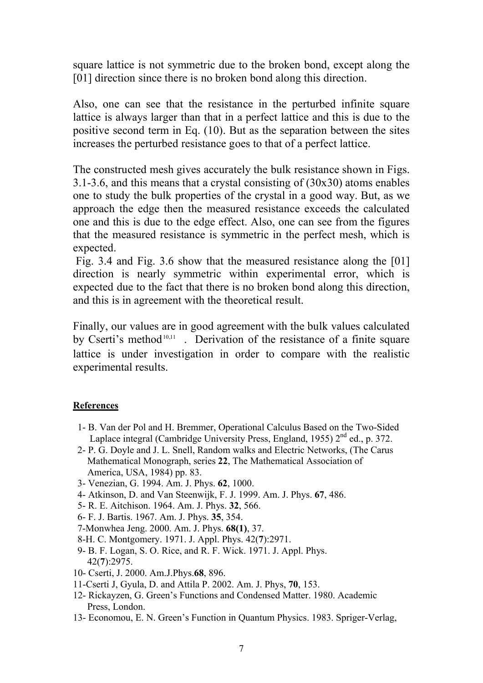square lattice is not symmetric due to the broken bond, except along the [01] direction since there is no broken bond along this direction.

Also, one can see that the resistance in the perturbed infinite square lattice is always larger than that in a perfect lattice and this is due to the positive second term in Eq. (10). But as the separation between the sites increases the perturbed resistance goes to that of a perfect lattice.

The constructed mesh gives accurately the bulk resistance shown in Figs. 3.1-3.6, and this means that a crystal consisting of (30x30) atoms enables one to study the bulk properties of the crystal in a good way. But, as we approach the edge then the measured resistance exceeds the calculated one and this is due to the edge effect. Also, one can see from the figures that the measured resistance is symmetric in the perfect mesh, which is expected.

 Fig. 3.4 and Fig. 3.6 show that the measured resistance along the [01] direction is nearly symmetric within experimental error, which is expected due to the fact that there is no broken bond along this direction, and this is in agreement with the theoretical result.

Finally, our values are in good agreement with the bulk values calculated by Cserti's method<sup>10,11</sup>. Derivation of the resistance of a finite square lattice is under investigation in order to compare with the realistic experimental results.

### **References**

- 1- B. Van der Pol and H. Bremmer, Operational Calculus Based on the Two-Sided Laplace integral (Cambridge University Press, England, 1955)  $2<sup>nd</sup>$  ed., p. 372.
- 2- P. G. Doyle and J. L. Snell, Random walks and Electric Networks, (The Carus Mathematical Monograph, series **22**, The Mathematical Association of America, USA, 1984) pp. 83.
- 3- Venezian, G. 1994. Am. J. Phys. **62**, 1000.
- 4- Atkinson, D. and Van Steenwijk, F. J. 1999. Am. J. Phys. **67**, 486.
- 5- R. E. Aitchison. 1964. Am. J. Phys. **32**, 566.
- 6- F. J. Bartis. 1967. Am. J. Phys. **35**, 354.
- 7-Monwhea Jeng. 2000. Am. J. Phys. **68(1)**, 37.
- 8-H. C. Montgomery. 1971. J. Appl. Phys. 42(**7**):2971.
- 9- B. F. Logan, S. O. Rice, and R. F. Wick. 1971. J. Appl. Phys. 42(**7**):2975.
- 10- Cserti, J. 2000. Am.J.Phys.**68**, 896.
- 11-Cserti J, Gyula, D. and Attila P. 2002. Am. J. Phys, **70**, 153.
- 12- Rickayzen, G. Green's Functions and Condensed Matter. 1980. Academic Press, London.
- 13- Economou, E. N. Green's Function in Quantum Physics. 1983. Spriger-Verlag,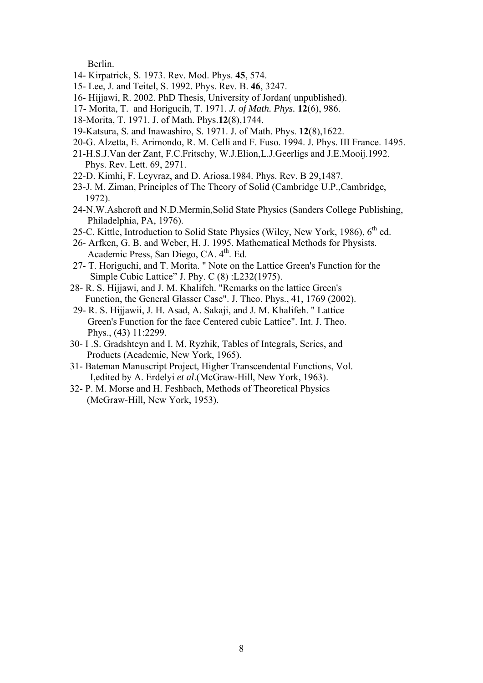Berlin.

- 14- Kirpatrick, S. 1973. Rev. Mod. Phys. **45**, 574.
- 15- Lee, J. and Teitel, S. 1992. Phys. Rev. B. **46**, 3247.
- 16- Hijjawi, R. 2002. PhD Thesis, University of Jordan( unpublished).
- 17- Morita, T. and Horigucih, T. 1971. *J. of Math. Phys.* **12**(6), 986.
- 18-Morita, T. 1971. J. of Math. Phys.**12**(8),1744.
- 19-Katsura, S. and Inawashiro, S. 1971. J. of Math. Phys. **12**(8),1622.
- 20-G. Alzetta, E. Arimondo, R. M. Celli and F. Fuso. 1994. J. Phys. III France. 1495.
- 21-H.S.J.Van der Zant, F.C.Fritschy, W.J.Elion,L.J.Geerligs and J.E.Mooij.1992. Phys. Rev. Lett. 69, 2971.
- 22-D. Kimhi, F. Leyvraz, and D. Ariosa.1984. Phys. Rev. B 29,1487.
- 23-J. M. Ziman, Principles of The Theory of Solid (Cambridge U.P.,Cambridge, 1972).
- 24-N.W.Ashcroft and N.D.Mermin,Solid State Physics (Sanders College Publishing, Philadelphia, PA, 1976).
- 25-C. Kittle, Introduction to Solid State Physics (Wiley, New York, 1986), 6<sup>th</sup> ed.
- 26- Arfken, G. B. and Weber, H. J. 1995. Mathematical Methods for Physists. Academic Press, San Diego, CA, 4<sup>th</sup>, Ed.
- 27- T. Horiguchi, and T. Morita. " Note on the Lattice Green's Function for the Simple Cubic Lattice" J. Phy. C (8) :L232(1975).
- 28- R. S. Hijjawi, and J. M. Khalifeh. "Remarks on the lattice Green's Function, the General Glasser Case". J. Theo. Phys., 41, 1769 (2002).
- 29- R. S. Hijjawii, J. H. Asad, A. Sakaji, and J. M. Khalifeh. " Lattice Green's Function for the face Centered cubic Lattice". Int. J. Theo. Phys., (43) 11:2299.
- 30- I .S. Gradshteyn and I. M. Ryzhik, Tables of Integrals, Series, and Products (Academic, New York, 1965).
- 31- Bateman Manuscript Project, Higher Transcendental Functions, Vol. I,edited by A. Erdelyi *et al*.(McGraw-Hill, New York, 1963).
- 32- P. M. Morse and H. Feshbach, Methods of Theoretical Physics (McGraw-Hill, New York, 1953).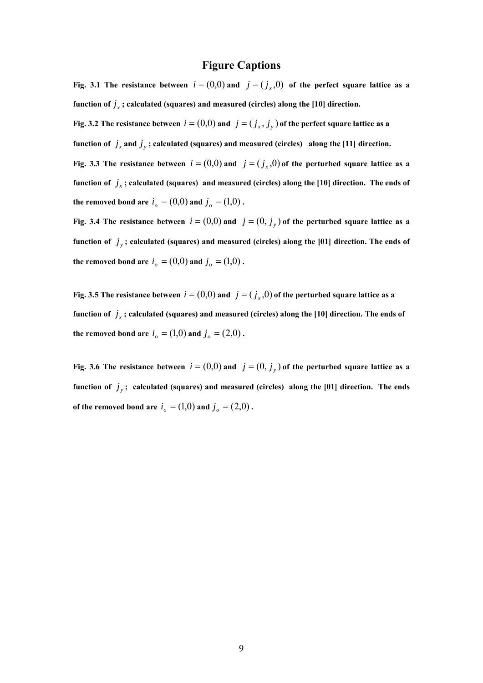#### **Figure Captions**

**Fig. 3.1** The resistance between  $i = (0,0)$  and  $j = (j,0)$  of the perfect square lattice as a function of  $j_x$ ; calculated (squares) and measured (circles) along the [10] direction. **Fig. 3.2** The resistance between  $i = (0,0)$  and  $j = (j_x, j_y)$  of the perfect square lattice as a **function of**  $j_x$  and  $j_y$ ; calculated (squares) and measured (circles) along the [11] direction. **Fig. 3.3 The resistance between**  $i = (0,0)$  and  $j = (j_x,0)$  of the perturbed square lattice as a function of  $j_x$ ; calculated (squares) and measured (circles) along the [10] direction. The ends of **the removed bond are**  $i_o = (0,0)$  and  $j_o = (1,0)$ .

**Fig. 3.4 The resistance between**  $i = (0,0)$  and  $j = (0, j_y)$  of the perturbed square lattice as a function of  $j_{y}$ ; calculated (squares) and measured (circles) along the [01] direction. The ends of **the removed bond are**  $i_o = (0,0)$  and  $j_o = (1,0)$ .

**Fig. 3.5 The resistance between**  $i = (0,0)$  and  $j = (j_x,0)$  of the perturbed square lattice as a function of  $j_x$ ; calculated (squares) and measured (circles) along the [10] direction. The ends of **the removed bond are**  $i_o = (1,0)$  and  $j_o = (2,0)$ .

**Fig. 3.6 The resistance between**  $i = (0,0)$  and  $j = (0, j_y)$  of the perturbed square lattice as a function of  $j<sub>y</sub>$ ; calculated (squares) and measured (circles) along the [01] direction. The ends **of the removed bond are**   $i_o = (1,0)$  and  $j_o = (2,0)$ .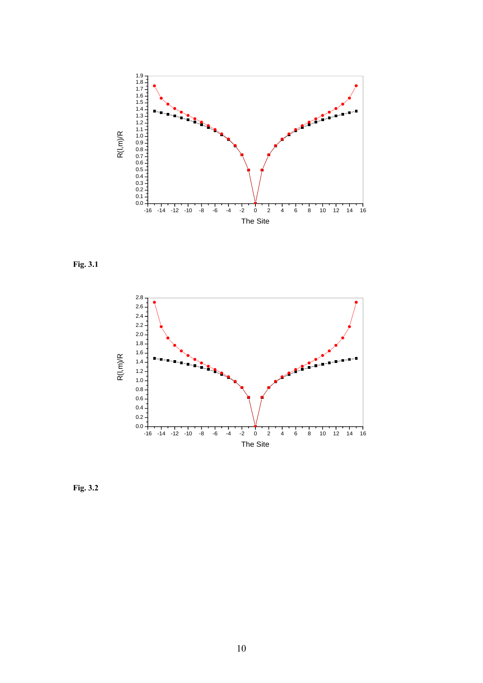

**Fig. 3.1**



**Fig. 3.2**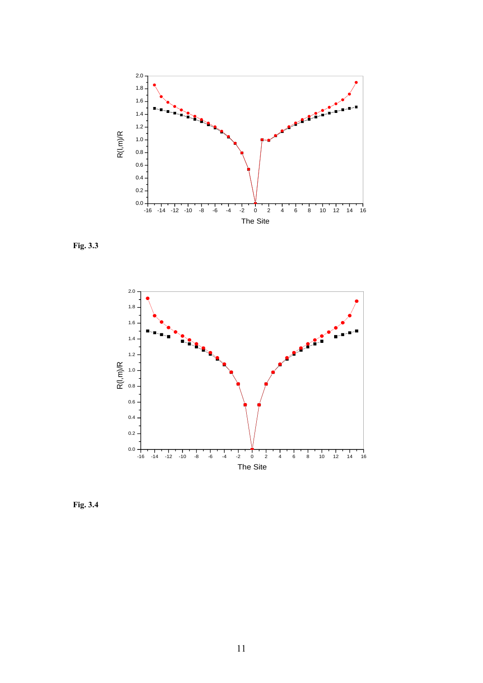





**Fig. 3.4**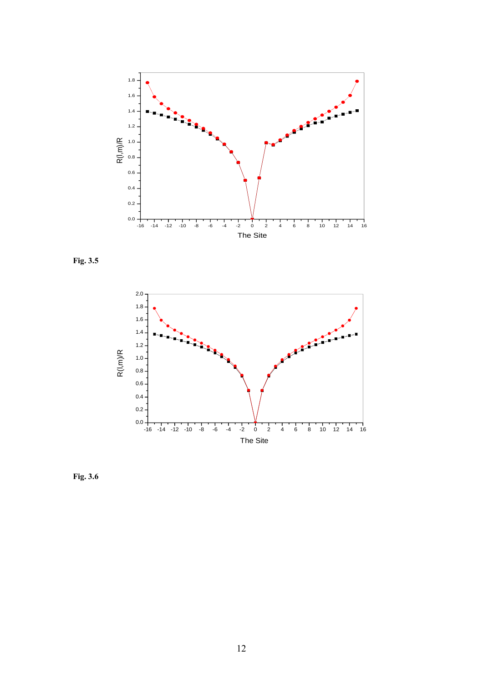





**Fig. 3.6**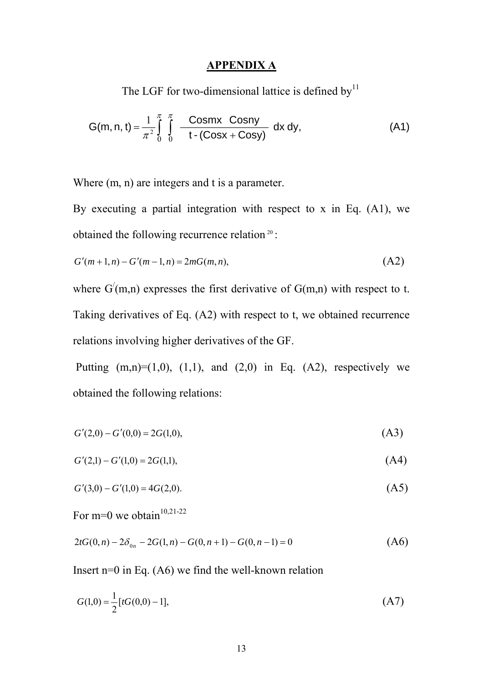# **APPENDIX A**

The LGF for two-dimensional lattice is defined by<sup>11</sup>

$$
G(m, n, t) = \frac{1}{\pi^2} \int_{0}^{\pi} \int_{0}^{\pi} \frac{Cosmx \text{ Cosny}}{t \cdot (\text{Cosx} + \text{Cosy})} dx dy,
$$
 (A1)

Where  $(m, n)$  are integers and t is a parameter.

By executing a partial integration with respect to x in Eq. (A1), we obtained the following recurrence relation <sup>20</sup> :

$$
G'(m+1,n) - G'(m-1,n) = 2mG(m,n),
$$
\n(A2)

where  $G'(m,n)$  expresses the first derivative of  $G(m,n)$  with respect to t. Taking derivatives of Eq. (A2) with respect to t, we obtained recurrence relations involving higher derivatives of the GF.

Putting  $(m,n)=(1,0)$ ,  $(1,1)$ , and  $(2,0)$  in Eq.  $(A2)$ , respectively we obtained the following relations:

$$
G'(2,0) - G'(0,0) = 2G(1,0),
$$
\n(A3)

$$
G'(2,1) - G'(1,0) = 2G(1,1),\tag{A4}
$$

$$
G'(3,0) - G'(1,0) = 4G(2,0). \tag{A5}
$$

For m=0 we obtain $10,21-22$ 

$$
2tG(0,n) - 2\delta_{0n} - 2G(1,n) - G(0,n+1) - G(0,n-1) = 0
$$
\n(A6)

Insert n=0 in Eq.  $(46)$  we find the well-known relation

$$
G(1,0) = \frac{1}{2} [tG(0,0) - 1],
$$
\n(A7)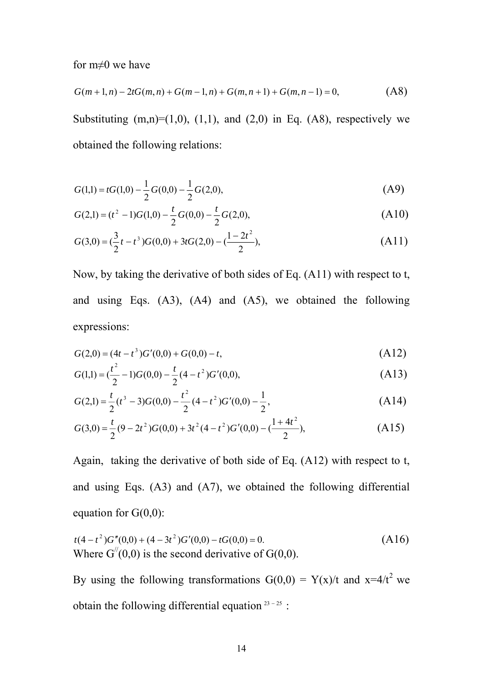for m≠0 we have

$$
G(m+1,n) - 2tG(m,n) + G(m-1,n) + G(m,n+1) + G(m,n-1) = 0,
$$
\n(A8)

Substituting  $(m,n)=(1,0)$ ,  $(1,1)$ , and  $(2,0)$  in Eq.  $(A8)$ , respectively we obtained the following relations:

$$
G(1,1) = tG(1,0) - \frac{1}{2}G(0,0) - \frac{1}{2}G(2,0),
$$
 (A9)

$$
G(2,1) = (t2 - 1)G(1,0) - \frac{t}{2}G(0,0) - \frac{t}{2}G(2,0),
$$
\n(A10)

$$
G(3,0) = \left(\frac{3}{2}t - t^3\right)G(0,0) + 3tG(2,0) - \left(\frac{1 - 2t^2}{2}\right),\tag{A11}
$$

Now, by taking the derivative of both sides of Eq. (A11) with respect to t, and using Eqs. (A3), (A4) and (A5), we obtained the following expressions:

$$
G(2,0) = (4t - t^3)G'(0,0) + G(0,0) - t,
$$
\n(A12)

$$
G(1,1) = \left(\frac{t^2}{2} - 1\right)G(0,0) - \frac{t}{2}(4 - t^2)G'(0,0),\tag{A13}
$$

$$
G(2,1) = \frac{t}{2}(t^3 - 3)G(0,0) - \frac{t^2}{2}(4 - t^2)G'(0,0) - \frac{1}{2},
$$
\n(A14)

$$
G(3,0) = \frac{t}{2}(9 - 2t^2)G(0,0) + 3t^2(4 - t^2)G'(0,0) - (\frac{1 + 4t^2}{2}),
$$
\n(A15)

Again, taking the derivative of both side of Eq. (A12) with respect to t, and using Eqs. (A3) and (A7), we obtained the following differential equation for  $G(0,0)$ :

$$
t(4-t^2)G''(0,0) + (4-3t^2)G'(0,0) - tG(0,0) = 0.
$$
  
Where  $G''(0,0)$  is the second derivative of  $G(0,0)$ . (A16)

By using the following transformations  $G(0,0) = Y(x)/t$  and  $x=4/t^2$  we obtain the following differential equation  $23 - 25$ :